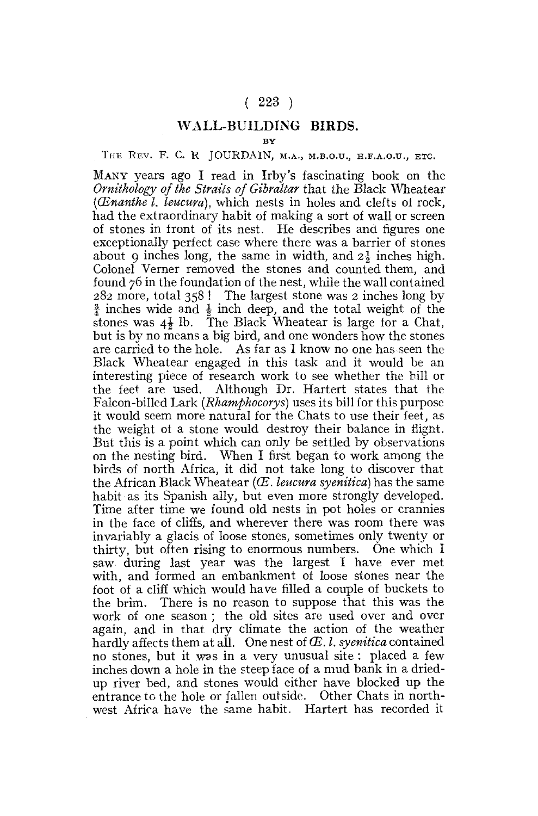## $(223)$

## **WALL-BUILDING BIRDS.**

**BY** 

## THE REV. F. C. R JOURDAIN, M.A., M.B.O.U., H.F.A.O.U., ETC.

MANY years ago I read in Irby's fascinating book on the *Ornithology of the Straits of Gibraltar* that the Black Wheatear *(CEnanthe I. leucura),* which nests in holes and clefts of rock, had the extraordinary habit of making a sort of wall or screen of stones in front of its nest. He describes and figures one exceptionally perfect case where there was a barrier of stones about 9 inches long, the same in width, and  $2\frac{1}{2}$  inches high. Colonel Vemer removed the stones and counted them, and found 76 in the foundation of the nest, while the wall contained 282 more, total 358 ! The largest stone was 2 inches long by <sup>3</sup>/<sub>4</sub> inches wide and <sup>1</sup>/<sub>4</sub> inch deep, and the total weight of the stones was  $4\frac{1}{2}$  lb. The Black Wheatear is large for a Chat, but is by no means a big bird, and one wonders how the stones are carried to the hole. As far as I know no one has seen the Black Wheatear engaged in this task and it would be an interesting piece of research work to see whether the bill or the feet are used. Although Dr. Hartert states that the Falcon-billed Lark *{Rhamphocorys)* uses its bill for this purpose it would seem more natural for the Chats to use their feet, as the weight ot a stone would destroy their balance in flight. But this is a point which can only be settled by observations on the nesting bird. When I first began to work among the birds of north Africa, it did not take long to discover that the African Black Wheatear *(CB. leucura syenitica)* has the same habit as its Spanish ally, but even more strongly developed. Time after time we found old nests in pot holes or crannies in the face of cliffs, and wherever there was room there was invariably a glacis of loose stones, sometimes only twenty or thirty, but often rising to enormous numbers. One which I saw during last year was the largest I have ever met with, and formed an embankment of loose stones near the foot of a cliff which would have filled a couple of buckets to the brim. There is no reason to suppose that this was the the brink. There is no reason to suppose that this was the work of one season, the old sites are used over and over again, and in that dry climate the action of the weather hardly affects them at all. One nest of  $E$ . *I. syenitica* contained nardly affects them at all. One nest of  $\alpha$ , i. symmed contained  $\alpha$ no stones, but it was in a very unusual site. Placed a lew inches down a hole in the steep face of a mud bank in a driedup river bed, and stones would either have blocked up the entrance to the hole or fallen outside. Other Chats in north-<br>west Africa have the same habit. Hartert has recorded it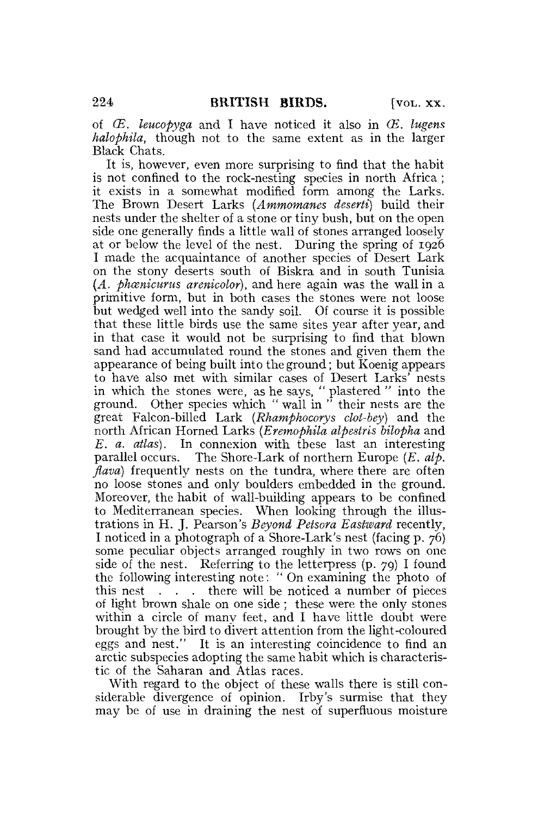of *CE. leucopyga* and I have noticed it also in *CE. lugens halophila,* though not to the same extent as in the larger Black Chats.

It is, however, even more surprising to find that the habit is not confined to the rock-nesting species in north Africa; it exists in a somewhat modified form among the Larks. The Brown Desert Larks *(Ammomanes deserii)* build their nests under the shelter of a stone or tiny bush, but on the open side one generally finds a little wall of stones arranged loosely at or below the level of the nest. During the spring of 1926 I made the acquaintance of another species of Desert Lark on the stony deserts south of Biskra and in south Tunisia *(A. phcenicurus arenicolor),* and here again was the wall in a primitive form, but in both cases the stones were not loose but wedged well into the sandy soil. Of course it is possible that these little birds use the same sites year after year, and in that case it would not be surprising to find that blown sand had accumulated round the stones and given them the appearance of being built into the ground; but Koenig appears to have also met with similar cases of Desert Larks' nests in which the stones were, as he says, " plastered " into the ground. Other species which " wall in " their nests are the great Falcon-billed Lark *(Rhamphocorys clot-bey)* and the north African Horned Larks *(Eremophila alpestris bilopha* and *E. a. atlas).* In connexion with these last an interesting parallel occurs. The Shore-Lark of northern Europe *(E. alp. flava*) frequently nests on the tundra, where there are often no loose stones and only boulders embedded in the ground. Moreover, the habit of wall-building appears to be confined to Mediterranean species. When looking through the illustrations in H. J. Pearson's *Beyond Petsora Eastward* recently, I noticed in a photograph of a Shore-Lark's nest (facing p. 76) some peculiar objects arranged roughly in two rows on one side of the nest. Referring to the letterpress  $(p, zq)$  I found the following interesting note: " On examining the photo of this nest . . . there will be noticed a number of pieces of light brown shale on one side ; these were the only stones within a circle of many feet, and I have little doubt were brought by the bird to divert attention from the light-coloured eggs and nest." It is an interesting coincidence to find an arctic subspecies adopting the same habit which is characteristic of the Saharan and Atlas races.

With regard to the object of these walls there is still considerable divergence of opinion. Irby's surmise that they may be of use in draining the nest of superfluous moisture